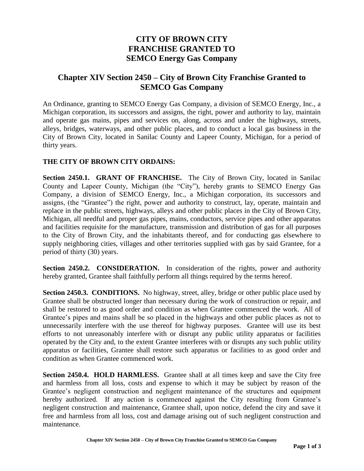# **CITY OF BROWN CITY FRANCHISE GRANTED TO SEMCO Energy Gas Company**

## **Chapter XIV Section 2450 – City of Brown City Franchise Granted to SEMCO Gas Company**

An Ordinance, granting to SEMCO Energy Gas Company, a division of SEMCO Energy, Inc., a Michigan corporation, its successors and assigns, the right, power and authority to lay, maintain and operate gas mains, pipes and services on, along, across and under the highways, streets, alleys, bridges, waterways, and other public places, and to conduct a local gas business in the City of Brown City, located in Sanilac County and Lapeer County, Michigan, for a period of thirty years.

## **THE CITY OF BROWN CITY ORDAINS:**

**Section 2450.1. GRANT OF FRANCHISE.** The City of Brown City, located in Sanilac County and Lapeer County, Michigan (the "City"), hereby grants to SEMCO Energy Gas Company, a division of SEMCO Energy, Inc., a Michigan corporation, its successors and assigns, (the "Grantee") the right, power and authority to construct, lay, operate, maintain and replace in the public streets, highways, alleys and other public places in the City of Brown City, Michigan, all needful and proper gas pipes, mains, conductors, service pipes and other apparatus and facilities requisite for the manufacture, transmission and distribution of gas for all purposes to the City of Brown City, and the inhabitants thereof, and for conducting gas elsewhere to supply neighboring cities, villages and other territories supplied with gas by said Grantee, for a period of thirty (30) years.

**Section 2450.2. CONSIDERATION.** In consideration of the rights, power and authority hereby granted, Grantee shall faithfully perform all things required by the terms hereof.

**Section 2450.3. CONDITIONS.** No highway, street, alley, bridge or other public place used by Grantee shall be obstructed longer than necessary during the work of construction or repair, and shall be restored to as good order and condition as when Grantee commenced the work. All of Grantee's pipes and mains shall be so placed in the highways and other public places as not to unnecessarily interfere with the use thereof for highway purposes. Grantee will use its best efforts to not unreasonably interfere with or disrupt any public utility apparatus or facilities operated by the City and, to the extent Grantee interferes with or disrupts any such public utility apparatus or facilities, Grantee shall restore such apparatus or facilities to as good order and condition as when Grantee commenced work.

**Section 2450.4. HOLD HARMLESS.** Grantee shall at all times keep and save the City free and harmless from all loss, costs and expense to which it may be subject by reason of the Grantee's negligent construction and negligent maintenance of the structures and equipment hereby authorized. If any action is commenced against the City resulting from Grantee's negligent construction and maintenance, Grantee shall, upon notice, defend the city and save it free and harmless from all loss, cost and damage arising out of such negligent construction and maintenance.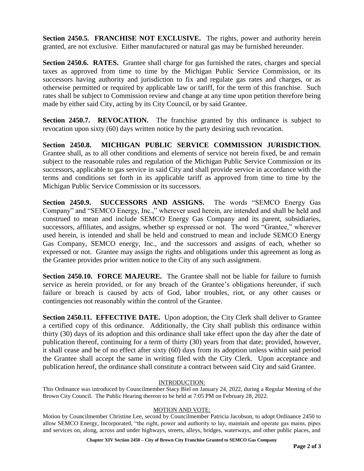**Section 2450.5. FRANCHISE NOT EXCLUSIVE.** The rights, power and authority herein granted, are not exclusive. Either manufactured or natural gas may be furnished hereunder.

**Section 2450.6. RATES.** Grantee shall charge for gas furnished the rates, charges and special taxes as approved from time to time by the Michigan Public Service Commission, or its successors having authority and jurisdiction to fix and regulate gas rates and charges, or as otherwise permitted or required by applicable law or tariff, for the term of this franchise. Such rates shall be subject to Commission review and change at any time upon petition therefore being made by either said City, acting by its City Council, or by said Grantee.

**Section 2450.7. REVOCATION.** The franchise granted by this ordinance is subject to revocation upon sixty (60) days written notice by the party desiring such revocation.

**Section 2450.8. MICHIGAN PUBLIC SERVICE COMMISSION JURISDICTION.**  Grantee shall, as to all other conditions and elements of service not herein fixed, be and remain subject to the reasonable rules and regulation of the Michigan Public Service Commission or its successors, applicable to gas service in said City and shall provide service in accordance with the terms and conditions set forth in its applicable tariff as approved from time to time by the Michigan Public Service Commission or its successors.

Section 2450.9. SUCCESSORS AND ASSIGNS. The words "SEMCO Energy Gas Company" and "SEMCO Energy, Inc.," wherever used herein, are intended and shall be held and construed to mean and include SEMCO Energy Gas Company and its parent, subsidiaries, successors, affiliates, and assigns, whether sp expressed or not. The word "Grantee," wherever used herein, is intended and shall be held and construed to mean and include SEMCO Energy Gas Company, SEMCO energy, Inc., and the successors and assigns of each, whether so expressed or not. Grantee may assign the rights and obligations under this agreement as long as the Grantee provides prior written notice to the City of any such assignment.

**Section 2450.10. FORCE MAJEURE.** The Grantee shall not be liable for failure to furnish service as herein provided, or for any breach of the Grantee's obligations hereunder, if such failure or breach is caused by acts of God, labor troubles, riot, or any other causes or contingencies not reasonably within the control of the Grantee.

**Section 2450.11. EFFECTIVE DATE.** Upon adoption, the City Clerk shall deliver to Grantee a certified copy of this ordinance. Additionally, the City shall publish this ordinance within thirty (30) days of its adoption and this ordinance shall take effect upon the day after the date of publication thereof, continuing for a term of thirty (30) years from that date; provided, however, it shall cease and be of no effect after sixty (60) days from its adoption unless within said period the Grantee shall accept the same in writing filed with the City Clerk. Upon acceptance and publication hereof, the ordinance shall constitute a contract between said City and said Grantee.

### INTRODUCTION:

This Ordinance was introduced by Councilmember Stacy Biel on January 24, 2022, during a Regular Meeting of the Brown City Council. The Public Hearing thereon to be held at 7:05 PM on February 28, 2022.

### MOTION AND VOTE:

Motion by Councilmember Christine Lee, second by Councilmember Patricia Jacobson, to adopt Ordinance 2450 to allow SEMCO Energy, Incorporated, "the right, power and authority to lay, maintain and operate gas mains, pipes and services on, along, across and under highways, streets, alleys, bridges, waterways, and other public places, and